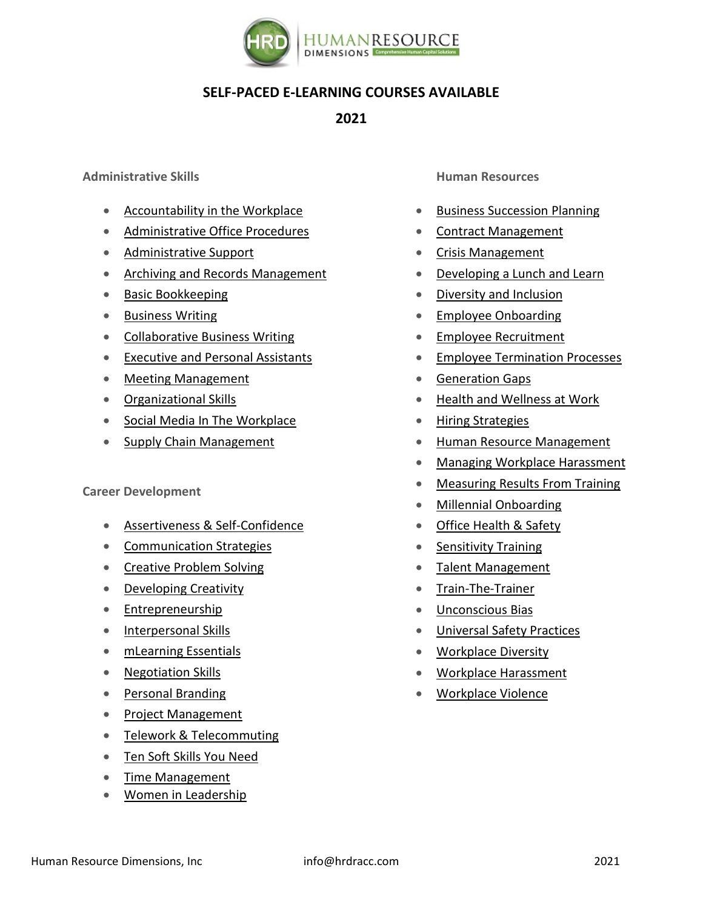

## **SELF-PACED E-LEARNING COURSES AVAILABLE**

**2021**

**Administrative Skills**

- [Accountability in the Workplace](https://corporatetrainingmaterials.com/products/accountability-in-the-workplace)
- [Administrative Office Procedures](https://corporatetrainingmaterials.com/products/Administrative-Office-Procedures)
- [Administrative Support](https://corporatetrainingmaterials.com/products/Administrative-Support)
- [Archiving and Records Management](https://corporatetrainingmaterials.com/products/Archiving-and-Records-Management)
- [Basic Bookkeeping](https://corporatetrainingmaterials.com/products/Basic-Bookkeeping)
- [Business Writing](https://corporatetrainingmaterials.com/products/Business-Writing)
- [Collaborative Business Writing](https://corporatetrainingmaterials.com/products/Collaborative-Business-Writing)
- [Executive and Personal Assistants](https://corporatetrainingmaterials.com/products/Executive-and-Personal-Assistants)
- [Meeting Management](https://corporatetrainingmaterials.com/products/Meeting-Management)
- [Organizational Skills](https://corporatetrainingmaterials.com/products/Organizational-Skills)
- [Social Media In The Workplace](https://corporatetrainingmaterials.com/products/Social-Media-In-The-Workplace)
- [Supply Chain Management](https://corporatetrainingmaterials.com/products/Supply-Chain-Management)

## **Career Development**

- [Assertiveness &](https://corporatetrainingmaterials.com/products/Assertiveness-And-Self-Confidence) Self-Confidence
- [Communication Strategies](https://corporatetrainingmaterials.com/products/Communication-Strategies)
- [Creative Problem Solving](https://corporatetrainingmaterials.com/products/Creative-Problem-Solving)
- [Developing Creativity](https://corporatetrainingmaterials.com/products/Developing-Creativity)
- [Entrepreneurship](https://corporatetrainingmaterials.com/products/Entrepreneurship)
- [Interpersonal Skills](https://corporatetrainingmaterials.com/products/Interpersonal-Skills)
- [mLearning Essentials](https://corporatetrainingmaterials.com/products/mLearning-Essentials)
- [Negotiation Skills](https://corporatetrainingmaterials.com/products/Negotiation-Skills)
- [Personal Branding](https://corporatetrainingmaterials.com/products/Personal-Branding)
- [Project Management](https://corporatetrainingmaterials.com/products/Project-Management)
- [Telework & Telecommuting](https://corporatetrainingmaterials.com/products/Telework-And-Telecommuting)
- [Ten Soft Skills You Need](https://corporatetrainingmaterials.com/products/Ten-Soft-Skills-You-Need)
- [Time Management](https://corporatetrainingmaterials.com/products/Time-Management)
- [Women in Leadership](https://corporatetrainingmaterials.com/products/Women-in-Leadership)

**Human Resources**

- [Business Succession Planning](https://corporatetrainingmaterials.com/products/Business-Succession-Planning)
- [Contract Management](https://corporatetrainingmaterials.com/products/Contract-Management)
- [Crisis Management](https://corporatetrainingmaterials.com/products/Crisis-Management)
- [Developing a Lunch and Learn](https://corporatetrainingmaterials.com/products/Developing-a-Lunch-and-Learn)
- [Diversity and Inclusion](https://corporatetrainingmaterials.com/products/Diversity-and-inclusion)
- [Employee Onboarding](https://corporatetrainingmaterials.com/products/Employee-Onboarding)
- [Employee Recruitment](https://corporatetrainingmaterials.com/products/Employee-Recruitment)
- [Employee Termination Processes](https://corporatetrainingmaterials.com/products/Employee-Termination-Processes)
- [Generation Gaps](https://corporatetrainingmaterials.com/products/Generation-Gaps)
- [Health and Wellness at Work](https://corporatetrainingmaterials.com/products/Health-and-Wellness-at-Work)
- [Hiring Strategies](https://corporatetrainingmaterials.com/products/Hiring-Strategies)
- [Human Resource Management](https://corporatetrainingmaterials.com/products/Human-Resource-Management)
- [Managing Workplace Harassment](https://corporatetrainingmaterials.com/products/Managing-Workplace-Harassment)
- [Measuring Results From Training](https://corporatetrainingmaterials.com/products/Measuring-Results-From-Training)
- [Millennial Onboarding](https://corporatetrainingmaterials.com/products/Millennial-Onboarding)
- [Office Health](https://corporatetrainingmaterials.com/products/office-health-and-safety) & Safety
- [Sensitivity Training](https://corporatetrainingmaterials.com/products/sensitivity-training)
- [Talent Management](https://corporatetrainingmaterials.com/products/Talent-Management)
- [Train-The-Trainer](https://corporatetrainingmaterials.com/products/Train-The-Trainer)
- [Unconscious](https://corporatetrainingmaterials.com/products/unconscious-bias) Bias
- [Universal Safety Practices](https://corporatetrainingmaterials.com/products/Universal-Safety-Practices)
- [Workplace Diversity](https://corporatetrainingmaterials.com/products/Workplace-Diversity)
- [Workplace Harassment](https://corporatetrainingmaterials.com/products/Workplace-Harassment)
- [Workplace Violence](https://corporatetrainingmaterials.com/products/Workplace-Violence)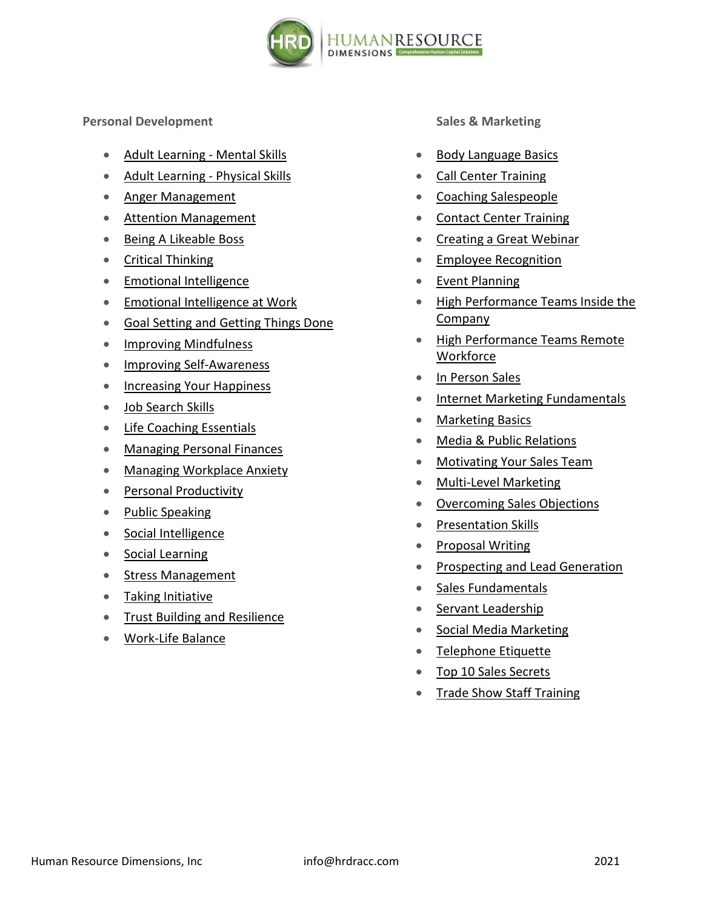

**Personal Development**

- [Adult Learning -](https://corporatetrainingmaterials.com/products/Adult-Learning-Mental-Skills) Mental Skills
- [Adult Learning -](https://corporatetrainingmaterials.com/products/Adult-Learning-Physical-Skills) Physical Skills
- [Anger Management](https://corporatetrainingmaterials.com/products/Anger-Management)
- [Attention Management](https://corporatetrainingmaterials.com/products/Attention-Management)
- [Being A Likeable Boss](https://corporatetrainingmaterials.com/products/Being-A-Likeable-Boss)
- [Critical Thinking](https://corporatetrainingmaterials.com/products/Critical-Thinking)
- [Emotional Intelligence](https://corporatetrainingmaterials.com/products/Emotional-Intelligence)
- [Emotional Intelligence at Work](https://corporatetrainingmaterials.com/products/Emotional-Intelligence-at-work)
- [Goal Setting and Getting Things Done](https://corporatetrainingmaterials.com/products/Goal-Setting-and-Getting-Things-Done)
- [Improving Mindfulness](https://corporatetrainingmaterials.com/products/Improving-Mindfulness)
- [Improving Self-Awareness](https://corporatetrainingmaterials.com/products/Improving-Self-Awareness)
- [Increasing Your Happiness](https://corporatetrainingmaterials.com/products/Increasing-Your-Happiness)
- [Job Search Skills](https://corporatetrainingmaterials.com/products/Job-Search-Skills)
- [Life Coaching Essentials](https://corporatetrainingmaterials.com/products/Life-Coaching-Essentials)
- [Managing Personal Finances](https://corporatetrainingmaterials.com/products/Managing-Personal-Finances)
- [Managing Workplace Anxiety](https://corporatetrainingmaterials.com/products/Managing-Workplace-Anxiety)
- [Personal Productivity](https://corporatetrainingmaterials.com/products/Personal-Productivity)
- [Public Speaking](https://corporatetrainingmaterials.com/products/Public-Speaking)
- [Social Intelligence](https://corporatetrainingmaterials.com/products/Social-Intelligence)
- [Social Learning](https://corporatetrainingmaterials.com/products/Social-Learning)
- [Stress Management](https://corporatetrainingmaterials.com/products/Stress-Management)
- [Taking Initiative](https://corporatetrainingmaterials.com/products/Taking-Initiative)
- [Trust Building and Resilience](https://corporatetrainingmaterials.com/products/trust-building-and-resilience)
- [Work-Life Balance](https://corporatetrainingmaterials.com/products/Work-Life-Balance)

**Sales & Marketing**

- [Body Language Basics](https://corporatetrainingmaterials.com/products/Body-Language-Basics)
- [Call Center Training](https://corporatetrainingmaterials.com/products/Call-Center-Training)
- [Coaching Salespeople](https://corporatetrainingmaterials.com/products/Coaching-Salespeople)
- [Contact Center Training](https://corporatetrainingmaterials.com/products/Contact-Center-Training)
- [Creating a Great Webinar](https://corporatetrainingmaterials.com/products/Creating-a-Great-Webinar)
- [Employee Recognition](https://corporatetrainingmaterials.com/products/Employee-Recognition)
- [Event Planning](https://corporatetrainingmaterials.com/products/Event-Planning)
- [High Performance Teams Inside the](https://corporatetrainingmaterials.com/products/High-Performance-Teams-Inside-the-Company)  [Company](https://corporatetrainingmaterials.com/products/High-Performance-Teams-Inside-the-Company)
- [High Performance Teams Remote](https://corporatetrainingmaterials.com/products/High-Performance-Teams-Remote-Workforce)  **[Workforce](https://corporatetrainingmaterials.com/products/High-Performance-Teams-Remote-Workforce)**
- [In Person Sales](https://corporatetrainingmaterials.com/products/In-Person-Sales)
- [Internet Marketing Fundamentals](https://corporatetrainingmaterials.com/products/Internet-Marketing-Fundamentals)
- [Marketing Basics](https://corporatetrainingmaterials.com/products/Marketing-Basics)
- Media & [Public Relations](https://corporatetrainingmaterials.com/products/Media-And-Public-Relations)
- [Motivating Your Sales Team](https://corporatetrainingmaterials.com/products/Motivating-Your-Sales-Team)
- [Multi-Level Marketing](https://corporatetrainingmaterials.com/products/Multi-Level-Marketing)
- [Overcoming Sales Objections](https://corporatetrainingmaterials.com/products/Overcoming-Sales-Objections)
- [Presentation Skills](https://corporatetrainingmaterials.com/products/Presentation-Skills)
- [Proposal Writing](https://corporatetrainingmaterials.com/products/Proposal-Writing)
- [Prospecting and Lead Generation](https://corporatetrainingmaterials.com/products/Prospecting-and-Lead-Generation)
- [Sales Fundamentals](https://corporatetrainingmaterials.com/products/Sales-Fundamentals)
- [Servant Leadership](https://corporatetrainingmaterials.com/products/Servant-Leadership)
- [Social Media Marketing](https://corporatetrainingmaterials.com/products/Social-Media-Marketing)
- [Telephone Etiquette](https://corporatetrainingmaterials.com/products/Telephone-Etiquette)
- [Top 10 Sales Secrets](https://corporatetrainingmaterials.com/products/Top-10-Sales-Secrets)
- [Trade Show Staff Training](https://corporatetrainingmaterials.com/products/Trade-Show-Staff-Training)